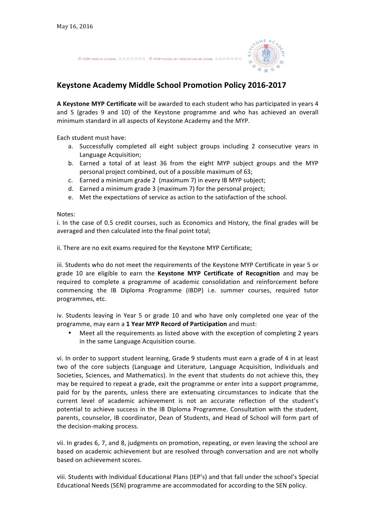A new world school 真正的世界学校 A new model of Education IN CHINA 全新的教育模式



## **Keystone Academy Middle School Promotion Policy 2016-2017**

**A Keystone MYP Certificate** will be awarded to each student who has participated in years 4 and 5 (grades 9 and 10) of the Keystone programme and who has achieved an overall minimum standard in all aspects of Keystone Academy and the MYP.

Each student must have:

- a. Successfully completed all eight subject groups including 2 consecutive years in Language Acquisition;
- b. Earned a total of at least 36 from the eight MYP subject groups and the MYP personal project combined, out of a possible maximum of 63;
- c. Earned a minimum grade 2 (maximum 7) in every IB MYP subject;
- d. Earned a minimum grade 3 (maximum 7) for the personal project;
- e. Met the expectations of service as action to the satisfaction of the school.

Notes:

i. In the case of 0.5 credit courses, such as Economics and History, the final grades will be averaged and then calculated into the final point total;

ii. There are no exit exams required for the Keystone MYP Certificate;

iii. Students who do not meet the requirements of the Keystone MYP Certificate in year 5 or grade 10 are eligible to earn the **Keystone MYP Certificate of Recognition** and may be required to complete a programme of academic consolidation and reinforcement before commencing the IB Diploma Programme (IBDP) i.e. summer courses, required tutor programmes, etc.

iv. Students leaving in Year 5 or grade 10 and who have only completed one year of the programme, may earn a 1 Year MYP Record of Participation and must:

Meet all the requirements as listed above with the exception of completing 2 years in the same Language Acquisition course.

vi. In order to support student learning, Grade 9 students must earn a grade of 4 in at least two of the core subjects (Language and Literature, Language Acquisition, Individuals and Societies, Sciences, and Mathematics). In the event that students do not achieve this, they may be required to repeat a grade, exit the programme or enter into a support programme. paid for by the parents, unless there are extenuating circumstances to indicate that the current level of academic achievement is not an accurate reflection of the student's potential to achieve success in the IB Diploma Programme. Consultation with the student, parents, counselor, IB coordinator, Dean of Students, and Head of School will form part of the decision-making process.

vii. In grades 6, 7, and 8, judgments on promotion, repeating, or even leaving the school are based on academic achievement but are resolved through conversation and are not wholly based on achievement scores.

viii. Students with Individual Educational Plans (IEP's) and that fall under the school's Special Educational Needs (SEN) programme are accommodated for according to the SEN policy.